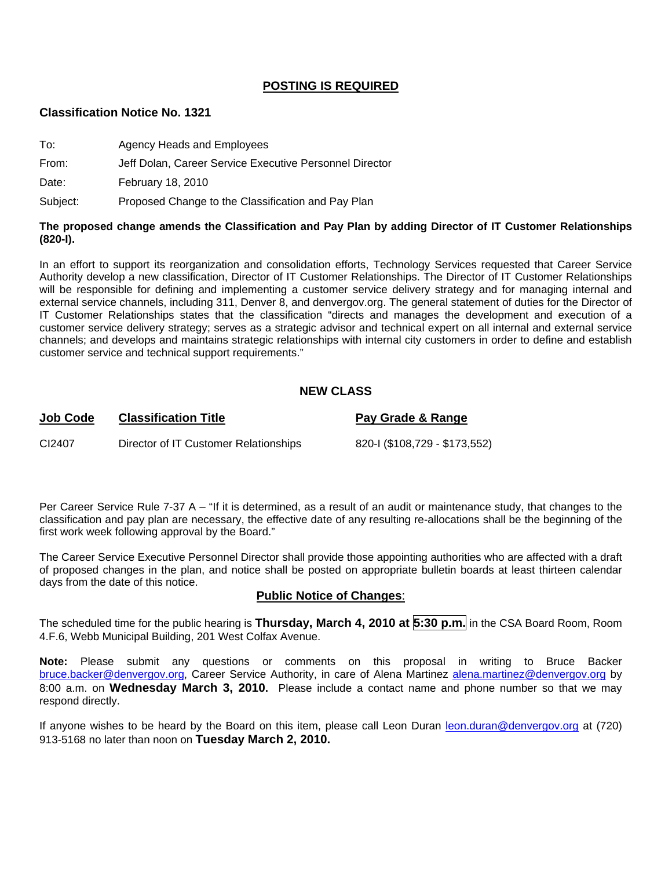# **POSTING IS REQUIRED**

#### **Classification Notice No. 1321**

| To:   | Agency Heads and Employees                              |
|-------|---------------------------------------------------------|
| From: | Jeff Dolan, Career Service Executive Personnel Director |
| Date: | February 18, 2010                                       |

Subject: Proposed Change to the Classification and Pay Plan

#### **The proposed change amends the Classification and Pay Plan by adding Director of IT Customer Relationships (820-I).**

In an effort to support its reorganization and consolidation efforts, Technology Services requested that Career Service Authority develop a new classification, Director of IT Customer Relationships. The Director of IT Customer Relationships will be responsible for defining and implementing a customer service delivery strategy and for managing internal and external service channels, including 311, Denver 8, and denvergov.org. The general statement of duties for the Director of IT Customer Relationships states that the classification "directs and manages the development and execution of a customer service delivery strategy; serves as a strategic advisor and technical expert on all internal and external service channels; and develops and maintains strategic relationships with internal city customers in order to define and establish customer service and technical support requirements."

### **NEW CLASS**

# **Job Code Classification Title Pay Grade & Range** CI2407 Director of IT Customer Relationships 820-I (\$108,729 - \$173,552)

Per Career Service Rule 7-37 A – "If it is determined, as a result of an audit or maintenance study, that changes to the classification and pay plan are necessary, the effective date of any resulting re-allocations shall be the beginning of the first work week following approval by the Board."

The Career Service Executive Personnel Director shall provide those appointing authorities who are affected with a draft of proposed changes in the plan, and notice shall be posted on appropriate bulletin boards at least thirteen calendar days from the date of this notice.

### **Public Notice of Changes**:

The scheduled time for the public hearing is **Thursday, March 4, 2010 at 5:30 p.m.** in the CSA Board Room, Room 4.F.6, Webb Municipal Building, 201 West Colfax Avenue.

**Note:** Please submit any questions or comments on this proposal in writing to Bruce Backer [bruce.backer@denvergov.org,](mailto:bruce.backer@denvergov.org) Career Service Authority, in care of Alena Martinez [alena.martinez@denvergov.org](mailto:alena.martinez@denvergov.org) by 8:00 a.m. on **Wednesday March 3, 2010.** Please include a contact name and phone number so that we may respond directly.

If anyone wishes to be heard by the Board on this item, please call Leon Duran [leon.duran@denvergov.org](mailto:leon.duran@denvergov.org) at (720) 913-5168 no later than noon on **Tuesday March 2, 2010.**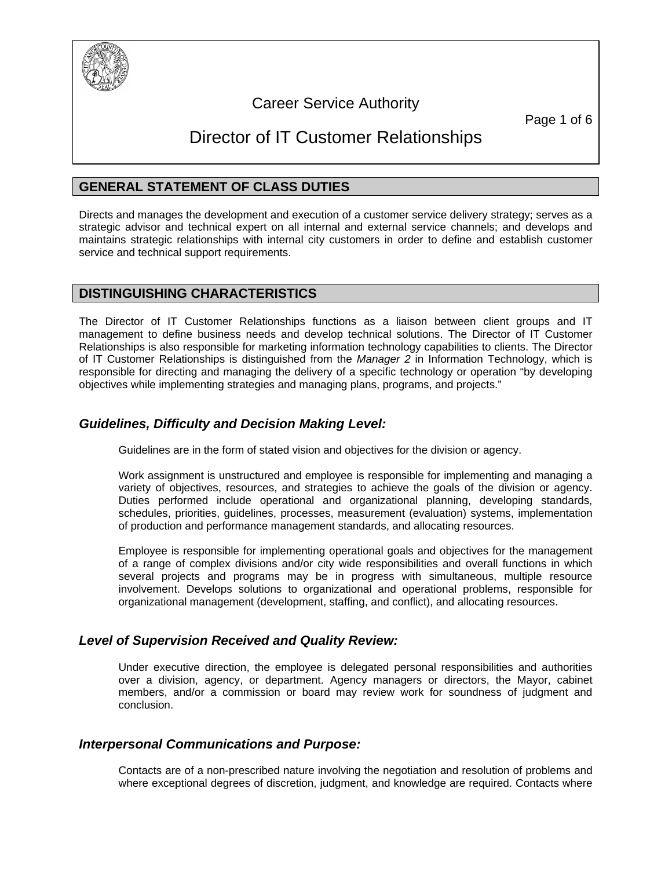

# Career Service Authority

Page 1 of 6

# Director of IT Customer Relationships

# **GENERAL STATEMENT OF CLASS DUTIES**

Directs and manages the development and execution of a customer service delivery strategy; serves as a strategic advisor and technical expert on all internal and external service channels; and develops and maintains strategic relationships with internal city customers in order to define and establish customer service and technical support requirements.

# **DISTINGUISHING CHARACTERISTICS**

The Director of IT Customer Relationships functions as a liaison between client groups and IT management to define business needs and develop technical solutions. The Director of IT Customer Relationships is also responsible for marketing information technology capabilities to clients. The Director of IT Customer Relationships is distinguished from the *Manager 2* in Information Technology, which is responsible for directing and managing the delivery of a specific technology or operation "by developing objectives while implementing strategies and managing plans, programs, and projects."

# *Guidelines, Difficulty and Decision Making Level:*

Guidelines are in the form of stated vision and objectives for the division or agency.

Work assignment is unstructured and employee is responsible for implementing and managing a variety of objectives, resources, and strategies to achieve the goals of the division or agency. Duties performed include operational and organizational planning, developing standards, schedules, priorities, guidelines, processes, measurement (evaluation) systems, implementation of production and performance management standards, and allocating resources.

Employee is responsible for implementing operational goals and objectives for the management of a range of complex divisions and/or city wide responsibilities and overall functions in which several projects and programs may be in progress with simultaneous, multiple resource involvement. Develops solutions to organizational and operational problems, responsible for organizational management (development, staffing, and conflict), and allocating resources.

# *Level of Supervision Received and Quality Review:*

Under executive direction, the employee is delegated personal responsibilities and authorities over a division, agency, or department. Agency managers or directors, the Mayor, cabinet members, and/or a commission or board may review work for soundness of judgment and conclusion.

# *Interpersonal Communications and Purpose:*

Contacts are of a non-prescribed nature involving the negotiation and resolution of problems and where exceptional degrees of discretion, judgment, and knowledge are required. Contacts where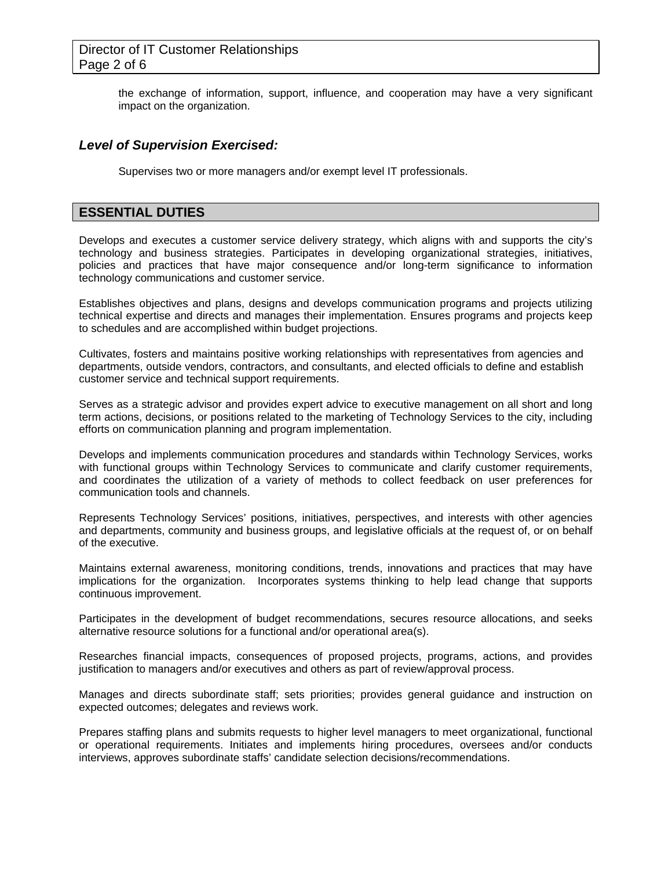# Director of IT Customer Relationships Page 2 of 6

the exchange of information, support, influence, and cooperation may have a very significant impact on the organization.

## *Level of Supervision Exercised:*

Supervises two or more managers and/or exempt level IT professionals.

## **ESSENTIAL DUTIES**

Develops and executes a customer service delivery strategy, which aligns with and supports the city's technology and business strategies. Participates in developing organizational strategies, initiatives, policies and practices that have major consequence and/or long-term significance to information technology communications and customer service.

Establishes objectives and plans, designs and develops communication programs and projects utilizing technical expertise and directs and manages their implementation. Ensures programs and projects keep to schedules and are accomplished within budget projections.

Cultivates, fosters and maintains positive working relationships with representatives from agencies and departments, outside vendors, contractors, and consultants, and elected officials to define and establish customer service and technical support requirements.

Serves as a strategic advisor and provides expert advice to executive management on all short and long term actions, decisions, or positions related to the marketing of Technology Services to the city, including efforts on communication planning and program implementation.

Develops and implements communication procedures and standards within Technology Services, works with functional groups within Technology Services to communicate and clarify customer requirements, and coordinates the utilization of a variety of methods to collect feedback on user preferences for communication tools and channels.

Represents Technology Services' positions, initiatives, perspectives, and interests with other agencies and departments, community and business groups, and legislative officials at the request of, or on behalf of the executive.

Maintains external awareness, monitoring conditions, trends, innovations and practices that may have implications for the organization. Incorporates systems thinking to help lead change that supports continuous improvement.

Participates in the development of budget recommendations, secures resource allocations, and seeks alternative resource solutions for a functional and/or operational area(s).

Researches financial impacts, consequences of proposed projects, programs, actions, and provides justification to managers and/or executives and others as part of review/approval process.

Manages and directs subordinate staff; sets priorities; provides general guidance and instruction on expected outcomes; delegates and reviews work.

Prepares staffing plans and submits requests to higher level managers to meet organizational, functional or operational requirements. Initiates and implements hiring procedures, oversees and/or conducts interviews, approves subordinate staffs' candidate selection decisions/recommendations.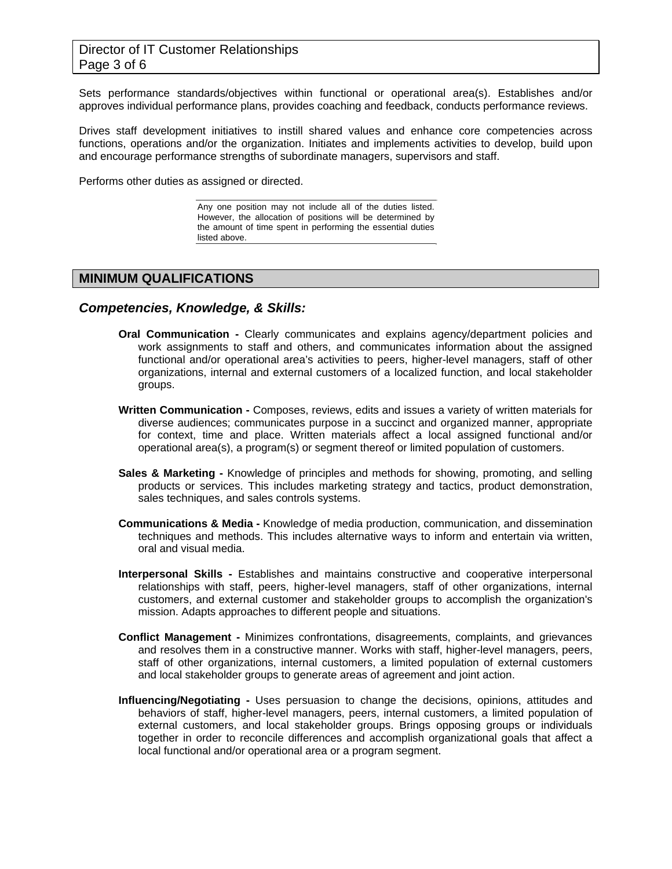Sets performance standards/objectives within functional or operational area(s). Establishes and/or approves individual performance plans, provides coaching and feedback, conducts performance reviews.

Drives staff development initiatives to instill shared values and enhance core competencies across functions, operations and/or the organization. Initiates and implements activities to develop, build upon and encourage performance strengths of subordinate managers, supervisors and staff.

Performs other duties as assigned or directed.

Any one position may not include all of the duties listed. However, the allocation of positions will be determined by the amount of time spent in performing the essential duties listed above.

### **MINIMUM QUALIFICATIONS**

#### *Competencies, Knowledge, & Skills:*

- **Oral Communication** Clearly communicates and explains agency/department policies and work assignments to staff and others, and communicates information about the assigned functional and/or operational area's activities to peers, higher-level managers, staff of other organizations, internal and external customers of a localized function, and local stakeholder groups.
- **Written Communication** Composes, reviews, edits and issues a variety of written materials for diverse audiences; communicates purpose in a succinct and organized manner, appropriate for context, time and place. Written materials affect a local assigned functional and/or operational area(s), a program(s) or segment thereof or limited population of customers.
- **Sales & Marketing** Knowledge of principles and methods for showing, promoting, and selling products or services. This includes marketing strategy and tactics, product demonstration, sales techniques, and sales controls systems.
- **Communications & Media** Knowledge of media production, communication, and dissemination techniques and methods. This includes alternative ways to inform and entertain via written, oral and visual media.
- **Interpersonal Skills** Establishes and maintains constructive and cooperative interpersonal relationships with staff, peers, higher-level managers, staff of other organizations, internal customers, and external customer and stakeholder groups to accomplish the organization's mission. Adapts approaches to different people and situations.
- **Conflict Management** Minimizes confrontations, disagreements, complaints, and grievances and resolves them in a constructive manner. Works with staff, higher-level managers, peers, staff of other organizations, internal customers, a limited population of external customers and local stakeholder groups to generate areas of agreement and joint action.
- **Influencing/Negotiating** Uses persuasion to change the decisions, opinions, attitudes and behaviors of staff, higher-level managers, peers, internal customers, a limited population of external customers, and local stakeholder groups. Brings opposing groups or individuals together in order to reconcile differences and accomplish organizational goals that affect a local functional and/or operational area or a program segment.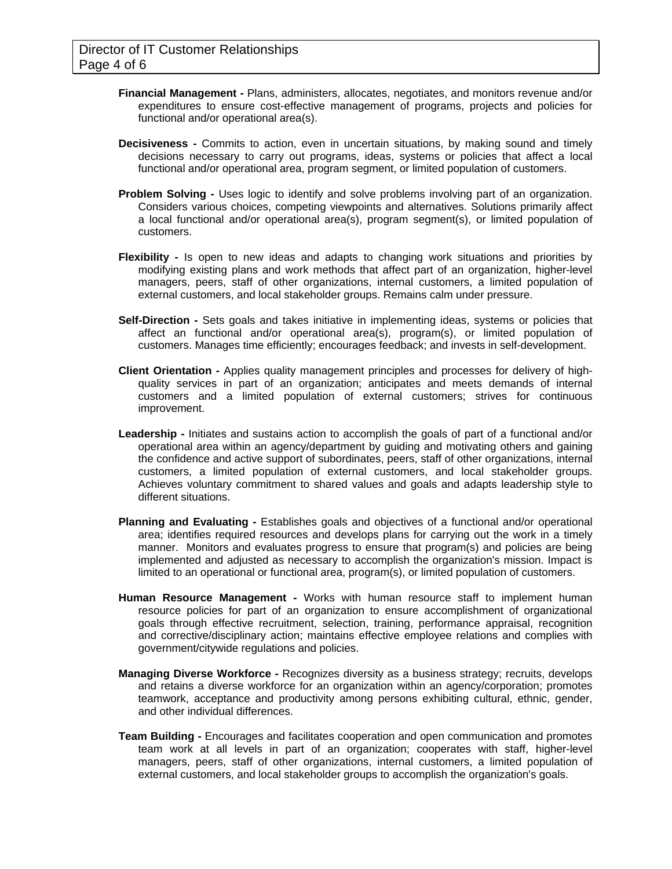- **Financial Management** Plans, administers, allocates, negotiates, and monitors revenue and/or expenditures to ensure cost-effective management of programs, projects and policies for functional and/or operational area(s).
- **Decisiveness** Commits to action, even in uncertain situations, by making sound and timely decisions necessary to carry out programs, ideas, systems or policies that affect a local functional and/or operational area, program segment, or limited population of customers.
- **Problem Solving** Uses logic to identify and solve problems involving part of an organization. Considers various choices, competing viewpoints and alternatives. Solutions primarily affect a local functional and/or operational area(s), program segment(s), or limited population of customers.
- **Flexibility** Is open to new ideas and adapts to changing work situations and priorities by modifying existing plans and work methods that affect part of an organization, higher-level managers, peers, staff of other organizations, internal customers, a limited population of external customers, and local stakeholder groups. Remains calm under pressure.
- **Self-Direction** Sets goals and takes initiative in implementing ideas, systems or policies that affect an functional and/or operational area(s), program(s), or limited population of customers. Manages time efficiently; encourages feedback; and invests in self-development.
- **Client Orientation** Applies quality management principles and processes for delivery of highquality services in part of an organization; anticipates and meets demands of internal customers and a limited population of external customers; strives for continuous improvement.
- **Leadership** Initiates and sustains action to accomplish the goals of part of a functional and/or operational area within an agency/department by guiding and motivating others and gaining the confidence and active support of subordinates, peers, staff of other organizations, internal customers, a limited population of external customers, and local stakeholder groups. Achieves voluntary commitment to shared values and goals and adapts leadership style to different situations.
- **Planning and Evaluating** Establishes goals and objectives of a functional and/or operational area; identifies required resources and develops plans for carrying out the work in a timely manner. Monitors and evaluates progress to ensure that program(s) and policies are being implemented and adjusted as necessary to accomplish the organization's mission. Impact is limited to an operational or functional area, program(s), or limited population of customers.
- **Human Resource Management** Works with human resource staff to implement human resource policies for part of an organization to ensure accomplishment of organizational goals through effective recruitment, selection, training, performance appraisal, recognition and corrective/disciplinary action; maintains effective employee relations and complies with government/citywide regulations and policies.
- **Managing Diverse Workforce** Recognizes diversity as a business strategy; recruits, develops and retains a diverse workforce for an organization within an agency/corporation; promotes teamwork, acceptance and productivity among persons exhibiting cultural, ethnic, gender, and other individual differences.
- **Team Building** Encourages and facilitates cooperation and open communication and promotes team work at all levels in part of an organization; cooperates with staff, higher-level managers, peers, staff of other organizations, internal customers, a limited population of external customers, and local stakeholder groups to accomplish the organization's goals.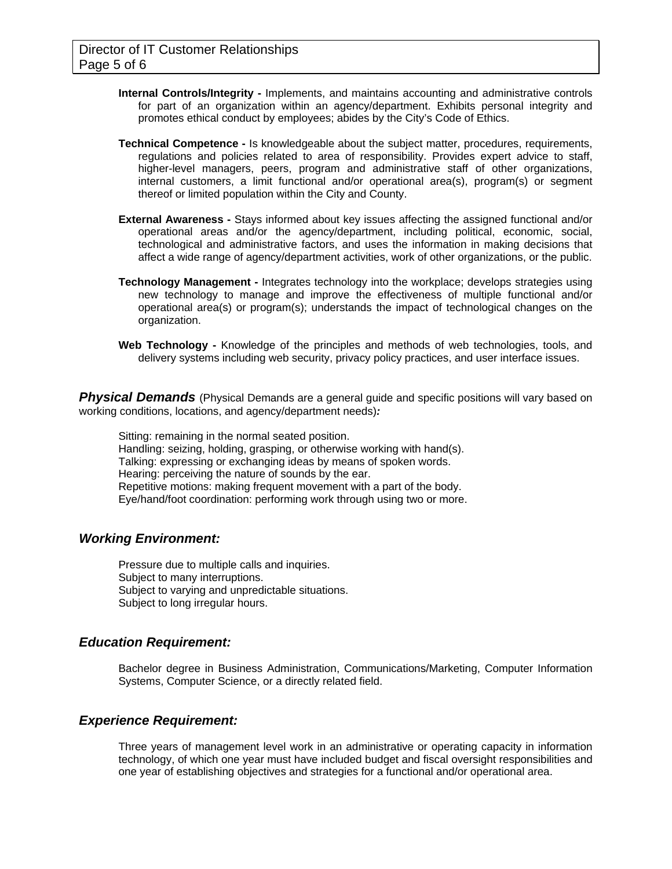- **Internal Controls/Integrity** Implements, and maintains accounting and administrative controls for part of an organization within an agency/department. Exhibits personal integrity and promotes ethical conduct by employees; abides by the City's Code of Ethics.
- **Technical Competence** Is knowledgeable about the subject matter, procedures, requirements, regulations and policies related to area of responsibility. Provides expert advice to staff, higher-level managers, peers, program and administrative staff of other organizations, internal customers, a limit functional and/or operational area(s), program(s) or segment thereof or limited population within the City and County.
- **External Awareness** Stays informed about key issues affecting the assigned functional and/or operational areas and/or the agency/department, including political, economic, social, technological and administrative factors, and uses the information in making decisions that affect a wide range of agency/department activities, work of other organizations, or the public.
- **Technology Management -** Integrates technology into the workplace; develops strategies using new technology to manage and improve the effectiveness of multiple functional and/or operational area(s) or program(s); understands the impact of technological changes on the organization.
- **Web Technology** Knowledge of the principles and methods of web technologies, tools, and delivery systems including web security, privacy policy practices, and user interface issues.

**Physical Demands** (Physical Demands are a general guide and specific positions will vary based on working conditions, locations, and agency/department needs)*:* 

Sitting: remaining in the normal seated position. Handling: seizing, holding, grasping, or otherwise working with hand(s). Talking: expressing or exchanging ideas by means of spoken words. Hearing: perceiving the nature of sounds by the ear. Repetitive motions: making frequent movement with a part of the body. Eye/hand/foot coordination: performing work through using two or more.

### *Working Environment:*

Pressure due to multiple calls and inquiries. Subject to many interruptions. Subject to varying and unpredictable situations. Subject to long irregular hours.

### *Education Requirement:*

Bachelor degree in Business Administration, Communications/Marketing, Computer Information Systems, Computer Science, or a directly related field.

### *Experience Requirement:*

Three years of management level work in an administrative or operating capacity in information technology, of which one year must have included budget and fiscal oversight responsibilities and one year of establishing objectives and strategies for a functional and/or operational area.